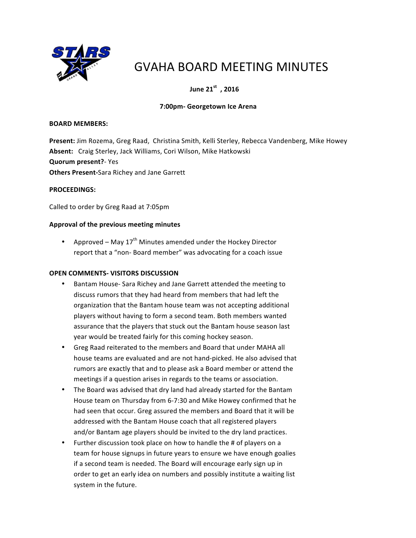

# GVAHA BOARD MEETING MINUTES

# *Uune* **21<sup>st</sup>, 2016**

## **7:00pm- Georgetown Ice Arena**

#### **BOARD MEMBERS:**

Present: Jim Rozema, Greg Raad, Christina Smith, Kelli Sterley, Rebecca Vandenberg, Mike Howey Absent: Craig Sterley, Jack Williams, Cori Wilson, Mike Hatkowski **Quorum present?**- Yes **Others Present-Sara Richey and Jane Garrett** 

#### **PROCEEDINGS:**

Called to order by Greg Raad at 7:05pm

#### **Approval of the previous meeting minutes**

• Approved – May  $17<sup>th</sup>$  Minutes amended under the Hockey Director report that a "non- Board member" was advocating for a coach issue

#### **OPEN COMMENTS- VISITORS DISCUSSION**

- Bantam House- Sara Richey and Jane Garrett attended the meeting to discuss rumors that they had heard from members that had left the organization that the Bantam house team was not accepting additional players without having to form a second team. Both members wanted assurance that the players that stuck out the Bantam house season last year would be treated fairly for this coming hockey season.
- Greg Raad reiterated to the members and Board that under MAHA all house teams are evaluated and are not hand-picked. He also advised that rumors are exactly that and to please ask a Board member or attend the meetings if a question arises in regards to the teams or association.
- The Board was advised that dry land had already started for the Bantam House team on Thursday from 6-7:30 and Mike Howey confirmed that he had seen that occur. Greg assured the members and Board that it will be addressed with the Bantam House coach that all registered players and/or Bantam age players should be invited to the dry land practices.
- Further discussion took place on how to handle the # of players on a team for house signups in future years to ensure we have enough goalies if a second team is needed. The Board will encourage early sign up in order to get an early idea on numbers and possibly institute a waiting list system in the future.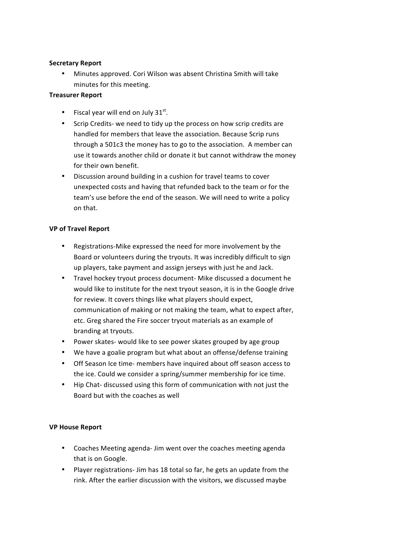## **Secretary Report**

• Minutes approved. Cori Wilson was absent Christina Smith will take minutes for this meeting.

## **Treasurer Report**

- Fiscal year will end on July  $31<sup>st</sup>$ .
- Scrip Credits- we need to tidy up the process on how scrip credits are handled for members that leave the association. Because Scrip runs through a 501c3 the money has to go to the association. A member can use it towards another child or donate it but cannot withdraw the money for their own benefit.
- Discussion around building in a cushion for travel teams to cover unexpected costs and having that refunded back to the team or for the team's use before the end of the season. We will need to write a policy on that.

## **VP of Travel Report**

- Registrations-Mike expressed the need for more involvement by the Board or volunteers during the tryouts. It was incredibly difficult to sign up players, take payment and assign jerseys with just he and Jack.
- Travel hockey tryout process document- Mike discussed a document he would like to institute for the next tryout season, it is in the Google drive for review. It covers things like what players should expect, communication of making or not making the team, what to expect after, etc. Greg shared the Fire soccer tryout materials as an example of branding at tryouts.
- Power skates- would like to see power skates grouped by age group
- We have a goalie program but what about an offense/defense training
- Off Season Ice time- members have inquired about off season access to the ice. Could we consider a spring/summer membership for ice time.
- Hip Chat- discussed using this form of communication with not just the Board but with the coaches as well

## **VP House Report**

- Coaches Meeting agenda- Jim went over the coaches meeting agenda that is on Google.
- Player registrations- Jim has 18 total so far, he gets an update from the rink. After the earlier discussion with the visitors, we discussed maybe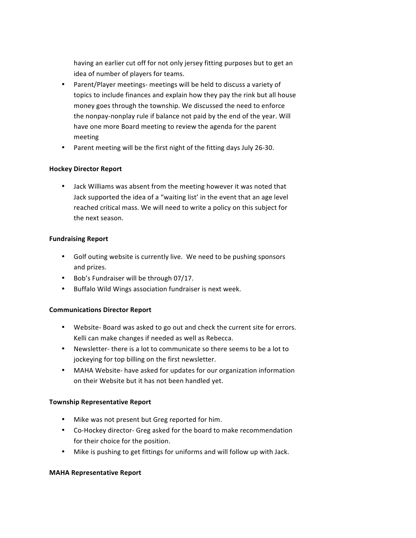having an earlier cut off for not only jersey fitting purposes but to get an idea of number of players for teams.

- Parent/Player meetings- meetings will be held to discuss a variety of topics to include finances and explain how they pay the rink but all house money goes through the township. We discussed the need to enforce the nonpay-nonplay rule if balance not paid by the end of the year. Will have one more Board meeting to review the agenda for the parent meeting
- Parent meeting will be the first night of the fitting days July 26-30.

## **Hockey Director Report**

• Jack Williams was absent from the meeting however it was noted that Jack supported the idea of a "waiting list' in the event that an age level reached critical mass. We will need to write a policy on this subject for the next season.

#### **Fundraising Report**

- Golf outing website is currently live. We need to be pushing sponsors and prizes.
- Bob's Fundraiser will be through 07/17.
- Buffalo Wild Wings association fundraiser is next week.

## **Communications Director Report**

- Website- Board was asked to go out and check the current site for errors. Kelli can make changes if needed as well as Rebecca.
- Newsletter- there is a lot to communicate so there seems to be a lot to jockeying for top billing on the first newsletter.
- MAHA Website- have asked for updates for our organization information on their Website but it has not been handled yet.

#### **Township Representative Report**

- Mike was not present but Greg reported for him.
- Co-Hockey director- Greg asked for the board to make recommendation for their choice for the position.
- Mike is pushing to get fittings for uniforms and will follow up with Jack.

#### **MAHA Representative Report**